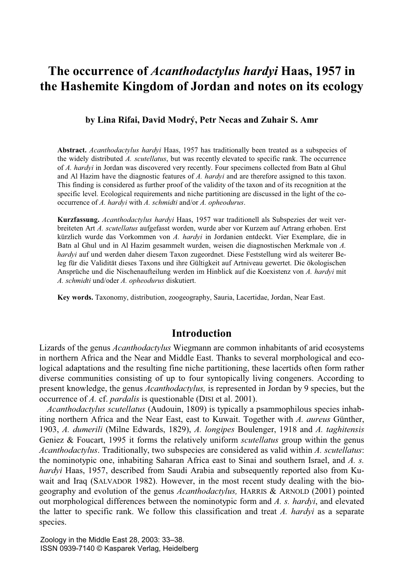# **The occurrence of** *Acanthodactylus hardyi* **Haas, 1957 in the Hashemite Kingdom of Jordan and notes on its ecology**

**by Lina Rifai, David Modrý, Petr Necas and Zuhair S. Amr** 

**Abstract.** *Acanthodactylus hardyi* Haas, 1957 has traditionally been treated as a subspecies of the widely distributed *A. scutellatus*, but was recently elevated to specific rank. The occurrence of *A. hardyi* in Jordan was discovered very recently. Four specimens collected from Batn al Ghul and Al Hazim have the diagnostic features of *A. hardyi* and are therefore assigned to this taxon. This finding is considered as further proof of the validity of the taxon and of its recognition at the specific level. Ecological requirements and niche partitioning are discussed in the light of the cooccurrence of *A. hardyi* with *A. schmidti* and/or *A. opheodurus*.

**Kurzfassung.** *Acanthodactylus hardyi* Haas, 1957 war traditionell als Subspezies der weit verbreiteten Art *A. scutellatus* aufgefasst worden, wurde aber vor Kurzem auf Artrang erhoben. Erst kürzlich wurde das Vorkommen von *A. hardyi* in Jordanien entdeckt. Vier Exemplare, die in Batn al Ghul und in Al Hazim gesammelt wurden, weisen die diagnostischen Merkmale von *A. hardyi* auf und werden daher diesem Taxon zugeordnet. Diese Feststellung wird als weiterer Beleg für die Validität dieses Taxons und ihre Gültigkeit auf Artniveau gewertet. Die ökologischen Ansprüche und die Nischenaufteilung werden im Hinblick auf die Koexistenz von *A. hardyi* mit *A. schmidti* und/oder *A. opheodurus* diskutiert.

**Key words.** Taxonomy, distribution, zoogeography, Sauria, Lacertidae, Jordan, Near East.

## **Introduction**

Lizards of the genus *Acanthodactylus* Wiegmann are common inhabitants of arid ecosystems in northern Africa and the Near and Middle East. Thanks to several morphological and ecological adaptations and the resulting fine niche partitioning, these lacertids often form rather diverse communities consisting of up to four syntopically living congeners. According to present knowledge, the genus *Acanthodactylus,* is represented in Jordan by 9 species, but the occurrence of *A.* cf. *pardalis* is questionable (DISI et al. 2001).

*Acanthodactylus scutellatus* (Audouin, 1809) is typically a psammophilous species inhabiting northern Africa and the Near East, east to Kuwait. Together with *A. aureus* Günther, 1903, *A. dumerili* (Milne Edwards, 1829), *A. longipes* Boulenger, 1918 and *A. taghitensis* Geniez & Foucart, 1995 it forms the relatively uniform *scutellatus* group within the genus *Acanthodactylus*. Traditionally, two subspecies are considered as valid within *A. scutellatus*: the nominotypic one, inhabiting Saharan Africa east to Sinai and southern Israel, and *A. s. hardyi* Haas, 1957, described from Saudi Arabia and subsequently reported also from Kuwait and Iraq (SALVADOR 1982). However, in the most recent study dealing with the biogeography and evolution of the genus *Acanthodactylus,* HARRIS & ARNOLD (2001) pointed out morphological differences between the nominotypic form and *A. s. hardyi*, and elevated the latter to specific rank. We follow this classification and treat *A. hardyi* as a separate species.

Zoology in the Middle East 28, 2003: 33–38. ISSN 0939-7140 © Kasparek Verlag, Heidelberg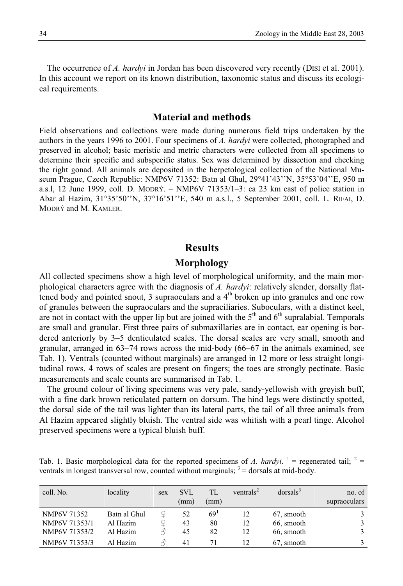The occurrence of *A. hardyi* in Jordan has been discovered very recently (DISI et al. 2001). In this account we report on its known distribution, taxonomic status and discuss its ecological requirements.

### **Material and methods**

Field observations and collections were made during numerous field trips undertaken by the authors in the years 1996 to 2001. Four specimens of *A. hardyi* were collected, photographed and preserved in alcohol; basic meristic and metric characters were collected from all specimens to determine their specific and subspecific status. Sex was determined by dissection and checking the right gonad. All animals are deposited in the herpetological collection of the National Museum Prague, Czech Republic: NMP6V 71352: Batn al Ghul, 29°41'43''N, 35°53'04''E, 950 m a.s.l, 12 June 1999, coll. D. MODRÝ. – NMP6V 71353/1–3: ca 23 km east of police station in Abar al Hazim, 31°35'50''N, 37°16'51''E, 540 m a.s.l., 5 September 2001, coll. L. RIFAI, D. MODRÝ and M. KAMLER.

## **Results**

#### **Morphology**

All collected specimens show a high level of morphological uniformity, and the main morphological characters agree with the diagnosis of *A. hardyi*: relatively slender, dorsally flattened body and pointed snout, 3 supraoculars and a  $4<sup>th</sup>$  broken up into granules and one row of granules between the supraoculars and the supraciliaries. Suboculars, with a distinct keel, are not in contact with the upper lip but are joined with the  $5<sup>th</sup>$  and  $6<sup>th</sup>$  supralabial. Temporals are small and granular. First three pairs of submaxillaries are in contact, ear opening is bordered anteriorly by 3–5 denticulated scales. The dorsal scales are very small, smooth and granular, arranged in 63–74 rows across the mid-body (66–67 in the animals examined, see Tab. 1). Ventrals (counted without marginals) are arranged in 12 more or less straight longitudinal rows. 4 rows of scales are present on fingers; the toes are strongly pectinate. Basic measurements and scale counts are summarised in Tab. 1.

The ground colour of living specimens was very pale, sandy-yellowish with greyish buff, with a fine dark brown reticulated pattern on dorsum. The hind legs were distinctly spotted, the dorsal side of the tail was lighter than its lateral parts, the tail of all three animals from Al Hazim appeared slightly bluish. The ventral side was whitish with a pearl tinge. Alcohol preserved specimens were a typical bluish buff.

Tab. 1. Basic morphological data for the reported specimens of *A. hardyi*. <sup>1</sup> = regenerated tail; <sup>2</sup> = ventrals in longest transversal row, counted without marginals;  $3 =$  dorsals at mid-body.

| coll. No.     | locality     | sex | SVL<br>(mm) | TL<br>(mm)      | ventrals <sup>2</sup> | dorsals <sup>3</sup> | no. of<br>supraoculars |
|---------------|--------------|-----|-------------|-----------------|-----------------------|----------------------|------------------------|
| NMP6V 71352   | Batn al Ghul |     | 52          | 69 <sup>1</sup> | 12                    | 67, smooth           |                        |
| NMP6V 71353/1 | Al Hazim     |     | 43          | 80              | 12                    | 66, smooth           |                        |
| NMP6V 71353/2 | Al Hazim     |     | 45          | 82              | 12                    | 66, smooth           |                        |
| NMP6V 71353/3 | Al Hazim     |     | 41          |                 | 12                    | 67, smooth           |                        |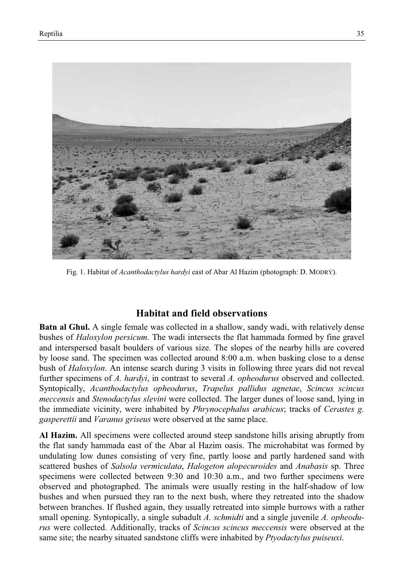

Fig. 1. Habitat of *Acanthodactylus hardyi* east of Abar Al Hazim (photograph: D. MODRÝ).

## **Habitat and field observations**

**Batn al Ghul.** A single female was collected in a shallow, sandy wadi, with relatively dense bushes of *Haloxylon persicum*. The wadi intersects the flat hammada formed by fine gravel and interspersed basalt boulders of various size. The slopes of the nearby hills are covered by loose sand. The specimen was collected around 8:00 a.m. when basking close to a dense bush of *Haloxylon*. An intense search during 3 visits in following three years did not reveal further specimens of *A. hardyi*, in contrast to several *A. opheodurus* observed and collected. Syntopically, *Acanthodactylus opheodurus*, *Trapelus pallidus agnetae*, *Scincus scincus meccensis* and *Stenodactylus slevini* were collected. The larger dunes of loose sand, lying in the immediate vicinity, were inhabited by *Phrynocephalus arabicus*; tracks of *Cerastes g. gasperettii* and *Varanus griseus* were observed at the same place.

**Al Hazim.** All specimens were collected around steep sandstone hills arising abruptly from the flat sandy hammada east of the Abar al Hazim oasis. The microhabitat was formed by undulating low dunes consisting of very fine, partly loose and partly hardened sand with scattered bushes of *Salsola vermiculata*, *Halogeton alopecuroides* and *Anabasis* sp. Three specimens were collected between 9:30 and 10:30 a.m., and two further specimens were observed and photographed. The animals were usually resting in the half-shadow of low bushes and when pursued they ran to the next bush, where they retreated into the shadow between branches. If flushed again, they usually retreated into simple burrows with a rather small opening. Syntopically, a single subadult *A. schmidti* and a single juvenile *A. opheodurus* were collected. Additionally, tracks of *Scincus scincus meccensis* were observed at the same site; the nearby situated sandstone cliffs were inhabited by *Ptyodactylus puiseuxi*.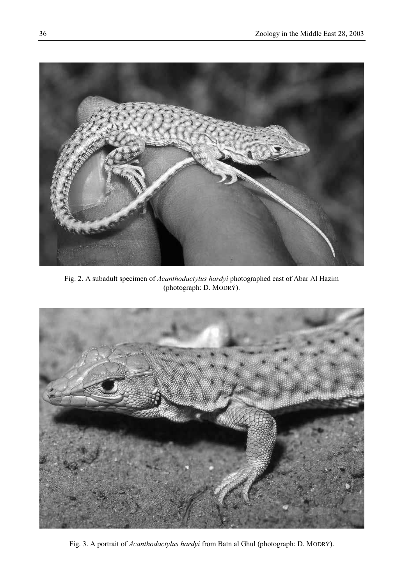

Fig. 2. A subadult specimen of *Acanthodactylus hardyi* photographed east of Abar Al Hazim (photograph: D. MODRÝ).



Fig. 3. A portrait of *Acanthodactylus hardyi* from Batn al Ghul (photograph: D. MODRÝ).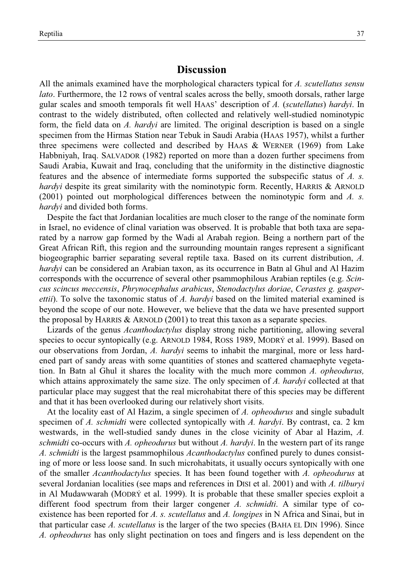## **Discussion**

All the animals examined have the morphological characters typical for *A. scutellatus sensu lato*. Furthermore, the 12 rows of ventral scales across the belly, smooth dorsals, rather large gular scales and smooth temporals fit well HAAS' description of *A.* (*scutellatus*) *hardyi*. In contrast to the widely distributed, often collected and relatively well-studied nominotypic form, the field data on *A. hardyi* are limited. The original description is based on a single specimen from the Hirmas Station near Tebuk in Saudi Arabia (HAAS 1957), whilst a further three specimens were collected and described by HAAS & WERNER (1969) from Lake Habbniyah, Iraq. SALVADOR (1982) reported on more than a dozen further specimens from Saudi Arabia, Kuwait and Iraq, concluding that the uniformity in the distinctive diagnostic features and the absence of intermediate forms supported the subspecific status of *A. s. hardyi* despite its great similarity with the nominotypic form. Recently, HARRIS & ARNOLD (2001) pointed out morphological differences between the nominotypic form and *A. s. hardyi* and divided both forms.

Despite the fact that Jordanian localities are much closer to the range of the nominate form in Israel, no evidence of clinal variation was observed. It is probable that both taxa are separated by a narrow gap formed by the Wadi al Arabah region. Being a northern part of the Great African Rift, this region and the surrounding mountain ranges represent a significant biogeographic barrier separating several reptile taxa. Based on its current distribution, *A. hardyi* can be considered an Arabian taxon, as its occurrence in Batn al Ghul and Al Hazim corresponds with the occurrence of several other psammophilous Arabian reptiles (e.g. *Scincus scincus meccensis*, *Phrynocephalus arabicus*, *Stenodactylus doriae*, *Cerastes g. gasperettii*). To solve the taxonomic status of *A. hardyi* based on the limited material examined is beyond the scope of our note. However, we believe that the data we have presented support the proposal by HARRIS & ARNOLD (2001) to treat this taxon as a separate species.

Lizards of the genus *Acanthodactylus* display strong niche partitioning, allowing several species to occur syntopically (e.g. ARNOLD 1984, ROSS 1989, MODRÝ et al. 1999). Based on our observations from Jordan, *A. hardyi* seems to inhabit the marginal, more or less hardened part of sandy areas with some quantities of stones and scattered chamaephyte vegetation. In Batn al Ghul it shares the locality with the much more common *A. opheodurus,* which attains approximately the same size. The only specimen of *A. hardyi* collected at that particular place may suggest that the real microhabitat there of this species may be different and that it has been overlooked during our relatively short visits.

At the locality east of Al Hazim, a single specimen of *A. opheodurus* and single subadult specimen of *A. schmidti* were collected syntopically with *A. hardyi*. By contrast, ca. 2 km westwards, in the well-studied sandy dunes in the close vicinity of Abar al Hazim, *A. schmidti* co-occurs with *A. opheodurus* but without *A. hardyi*. In the western part of its range *A. schmidti* is the largest psammophilous *Acanthodactylus* confined purely to dunes consisting of more or less loose sand. In such microhabitats, it usually occurs syntopically with one of the smaller *Acanthodactylus* species. It has been found together with *A. opheodurus* at several Jordanian localities (see maps and references in DISI et al. 2001) and with *A. tilburyi*  in Al Mudawwarah (MODRÝ et al. 1999). It is probable that these smaller species exploit a different food spectrum from their larger congener *A. schmidti*. A similar type of coexistence has been reported for *A. s. scutellatus* and *A. longipes* in N Africa and Sinai, but in that particular case *A. scutellatus* is the larger of the two species (BAHA EL DIN 1996). Since *A. opheodurus* has only slight pectination on toes and fingers and is less dependent on the